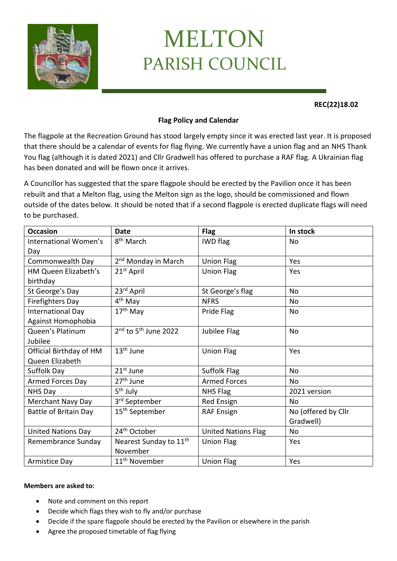

## MELTON PARISH COUNCIL

## **REC(22)18.02**

## **Flag Policy and Calendar**

The flagpole at the Recreation Ground has stood largely empty since it was erected last year. It is proposed that there should be a calendar of events for flag flying. We currently have a union flag and an NHS Thank You flag (although it is dated 2021) and Cllr Gradwell has offered to purchase a RAF flag. A Ukrainian flag has been donated and will be flown once it arrives.

A Councillor has suggested that the spare flagpole should be erected by the Pavilion once it has been rebuilt and that a Melton flag, using the Melton sign as the logo, should be commissioned and flown outside of the dates below. It should be noted that if a second flagpole is erected duplicate flags will need to be purchased.

| <b>Occasion</b>              | <b>Date</b>                        | <b>Flag</b>                | In stock            |
|------------------------------|------------------------------------|----------------------------|---------------------|
| International Women's        | 8 <sup>th</sup> March              | <b>IWD</b> flag            | No                  |
| Day                          |                                    |                            |                     |
| Commonwealth Day             | 2 <sup>nd</sup> Monday in March    | <b>Union Flag</b>          | Yes                 |
| HM Queen Elizabeth's         | 21 <sup>st</sup> April             | <b>Union Flag</b>          | Yes                 |
| birthday                     |                                    |                            |                     |
| St George's Day              | 23rd April                         | St George's flag           | <b>No</b>           |
| <b>Firefighters Day</b>      | 4 <sup>th</sup> May                | <b>NFRS</b>                | No                  |
| <b>International Day</b>     | 17 <sup>th</sup> May               | Pride Flag                 | No.                 |
| Against Homophobia           |                                    |                            |                     |
| Queen's Platinum             | $2nd$ to 5 <sup>th</sup> June 2022 | Jubilee Flag               | No                  |
| Jubilee                      |                                    |                            |                     |
| Official Birthday of HM      | 13 <sup>th</sup> June              | <b>Union Flag</b>          | Yes                 |
| Queen Elizabeth              |                                    |                            |                     |
| Suffolk Day                  | 21 <sup>st</sup> June              | Suffolk Flag               | <b>No</b>           |
| Armed Forces Day             | 27 <sup>th</sup> June              | <b>Armed Forces</b>        | <b>No</b>           |
| NHS Day                      | 5 <sup>th</sup> July               | NHS Flag                   | 2021 version        |
| Merchant Navy Day            | 3 <sup>rd</sup> September          | Red Ensign                 | No.                 |
| <b>Battle of Britain Day</b> | 15 <sup>th</sup> September         | <b>RAF Ensign</b>          | No (offered by Cllr |
|                              |                                    |                            | Gradwell)           |
| <b>United Nations Day</b>    | 24 <sup>th</sup> October           | <b>United Nations Flag</b> | <b>No</b>           |
| Remembrance Sunday           | Nearest Sunday to 11 <sup>th</sup> | <b>Union Flag</b>          | Yes                 |
|                              | November                           |                            |                     |
| Armistice Day                | 11 <sup>th</sup> November          | <b>Union Flag</b>          | Yes                 |

## **Members are asked to:**

- Note and comment on this report
- Decide which flags they wish to fly and/or purchase
- Decide if the spare flagpole should be erected by the Pavilion or elsewhere in the parish
- Agree the proposed timetable of flag flying